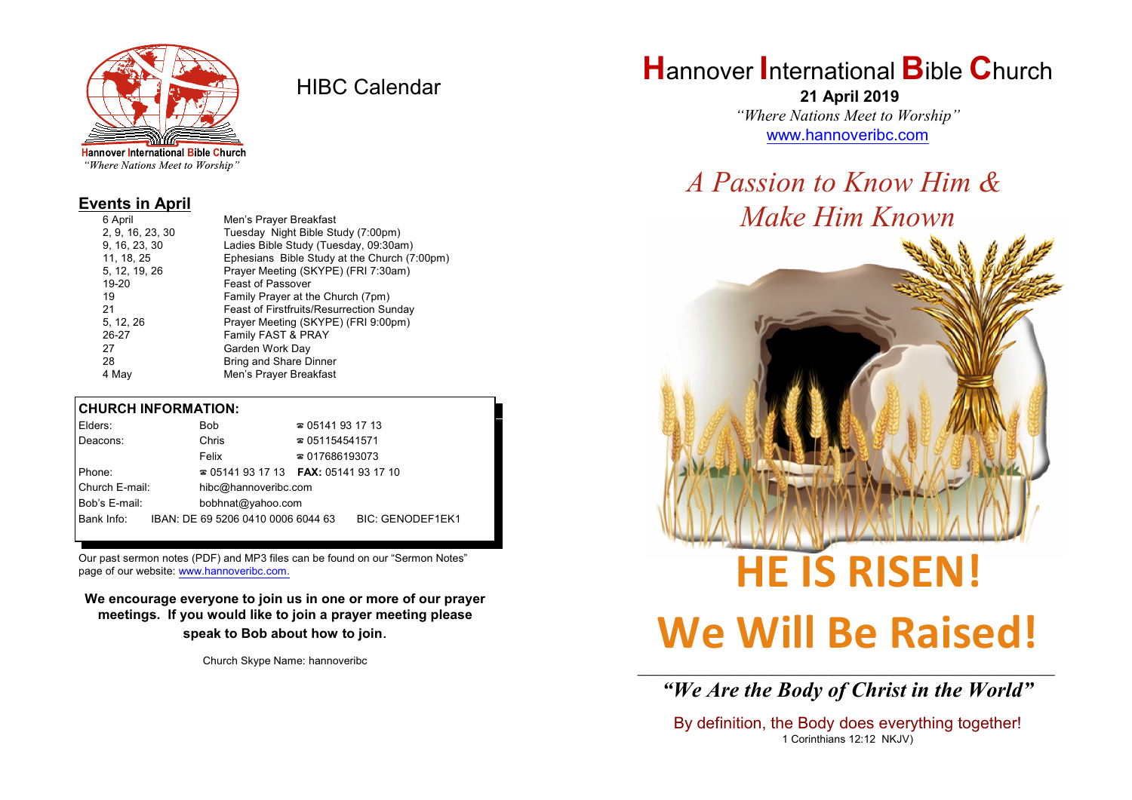

HIBC Calendar

"Where Nations Meet to Worship"

### **Events in April**

| 6 April          | Men's Prayer Breakfast                          |
|------------------|-------------------------------------------------|
| 2, 9, 16, 23, 30 | Tuesday Night Bible Study (7:00pm)              |
| 9, 16, 23, 30    | Ladies Bible Study (Tuesday, 09:30am)           |
| 11, 18, 25       | Ephesians Bible Study at the Church (7:00pm)    |
| 5, 12, 19, 26    | Prayer Meeting (SKYPE) (FRI 7:30am)             |
| 19-20            | <b>Feast of Passover</b>                        |
| 19               | Family Prayer at the Church (7pm)               |
| 21               | <b>Feast of Firstfruits/Resurrection Sunday</b> |
| 5, 12, 26        | Prayer Meeting (SKYPE) (FRI 9:00pm)             |
| 26-27            | Family FAST & PRAY                              |
| 27               | Garden Work Day                                 |
| 28               | <b>Bring and Share Dinner</b>                   |
| 4 May            | Men's Prayer Breakfast                          |
|                  |                                                 |

### **CHURCH INFORMATION:**

| Elders:        |  | <b>Bob</b>                               | $\approx 05141931713$  |                         |  |
|----------------|--|------------------------------------------|------------------------|-------------------------|--|
| Deacons:       |  | Chris                                    | $\approx 051154541571$ |                         |  |
|                |  | Felix                                    | $\approx 017686193073$ |                         |  |
| Phone:         |  | $\approx 05141931713$ FAX: 0514193 17 10 |                        |                         |  |
| Church E-mail: |  | hibc@hannoveribc.com                     |                        |                         |  |
| Bob's E-mail:  |  | bobhnat@yahoo.com                        |                        |                         |  |
| Bank Info:     |  | IBAN: DE 69 5206 0410 0006 6044 63       |                        | <b>BIC: GENODEF1EK1</b> |  |
|                |  |                                          |                        |                         |  |

Our past sermon notes (PDF) and MP3 files can be found on our "Sermon Notes" page of our website: [www.hannoveribc.com.](http://www.hannoveribc.com.)

**We encourage everyone to join us in one or more of our prayer meetings. If you would like to join a prayer meeting please speak to Bob about how to join**.

Church Skype Name: hannoveribc

## **H**annover **I**nternational **B**ible **C**hurch

 **21 April 2019** *"Where Nations Meet to Worship"* [www.hannoveribc.com](http://www.hannoveribc.com)

*A Passion to Know Him & Make Him Known*



# **We Will Be Raised!**

\_\_\_\_\_\_\_\_\_\_\_\_\_\_\_\_\_\_\_\_\_\_\_\_\_\_\_\_\_\_\_\_\_\_\_\_\_\_\_\_\_\_\_\_\_\_\_\_\_\_\_\_\_\_\_\_\_\_\_\_\_\_ *"We Are the Body of Christ in the World"*

By definition, the Body does everything together! 1 Corinthians 12:12 NKJV)